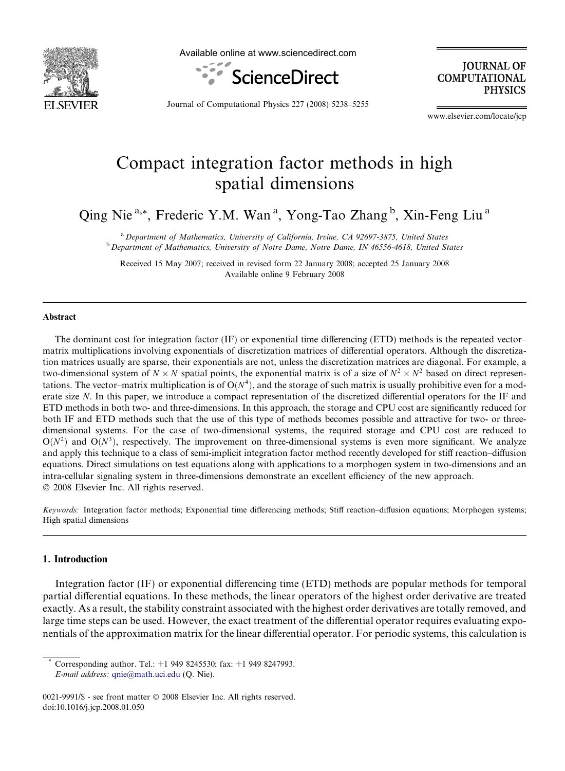

Available online at www.sciencedirect.com



**JOURNAL OF COMPUTATIONAL PHYSICS** 

Journal of Computational Physics 227 (2008) 5238–5255

www.elsevier.com/locate/jcp

# Compact integration factor methods in high spatial dimensions

Qing Nie<sup>a,\*</sup>, Frederic Y.M. Wan<sup>a</sup>, Yong-Tao Zhang<sup>b</sup>, Xin-Feng Liu<sup>a</sup>

<sup>a</sup> Department of Mathematics, University of California, Irvine, CA 92697-3875, United States <sup>b</sup> Department of Mathematics, University of Notre Dame, Notre Dame, IN 46556-4618, United States

Received 15 May 2007; received in revised form 22 January 2008; accepted 25 January 2008 Available online 9 February 2008

#### Abstract

The dominant cost for integration factor (IF) or exponential time differencing (ETD) methods is the repeated vector– matrix multiplications involving exponentials of discretization matrices of differential operators. Although the discretization matrices usually are sparse, their exponentials are not, unless the discretization matrices are diagonal. For example, a two-dimensional system of  $N \times N$  spatial points, the exponential matrix is of a size of  $N^2 \times N^2$  based on direct representations. The vector–matrix multiplication is of  $O(N^4)$ , and the storage of such matrix is usually prohibitive even for a moderate size N. In this paper, we introduce a compact representation of the discretized differential operators for the IF and ETD methods in both two- and three-dimensions. In this approach, the storage and CPU cost are significantly reduced for both IF and ETD methods such that the use of this type of methods becomes possible and attractive for two- or threedimensional systems. For the case of two-dimensional systems, the required storage and CPU cost are reduced to  $O(N^2)$  and  $O(N^3)$ , respectively. The improvement on three-dimensional systems is even more significant. We analyze and apply this technique to a class of semi-implicit integration factor method recently developed for stiff reaction–diffusion equations. Direct simulations on test equations along with applications to a morphogen system in two-dimensions and an intra-cellular signaling system in three-dimensions demonstrate an excellent efficiency of the new approach.  $© 2008$  Elsevier Inc. All rights reserved.

Keywords: Integration factor methods; Exponential time differencing methods; Stiff reaction-diffusion equations; Morphogen systems; High spatial dimensions

# 1. Introduction

Integration factor (IF) or exponential differencing time (ETD) methods are popular methods for temporal partial differential equations. In these methods, the linear operators of the highest order derivative are treated exactly. As a result, the stability constraint associated with the highest order derivatives are totally removed, and large time steps can be used. However, the exact treatment of the differential operator requires evaluating exponentials of the approximation matrix for the linear differential operator. For periodic systems, this calculation is

Corresponding author. Tel.:  $+1$  949 8245530; fax:  $+1$  949 8247993. E-mail address: [qnie@math.uci.edu](mailto:qnie@math.uci.edu) (Q. Nie).

<sup>0021-9991/\$ -</sup> see front matter © 2008 Elsevier Inc. All rights reserved. doi:10.1016/j.jcp.2008.01.050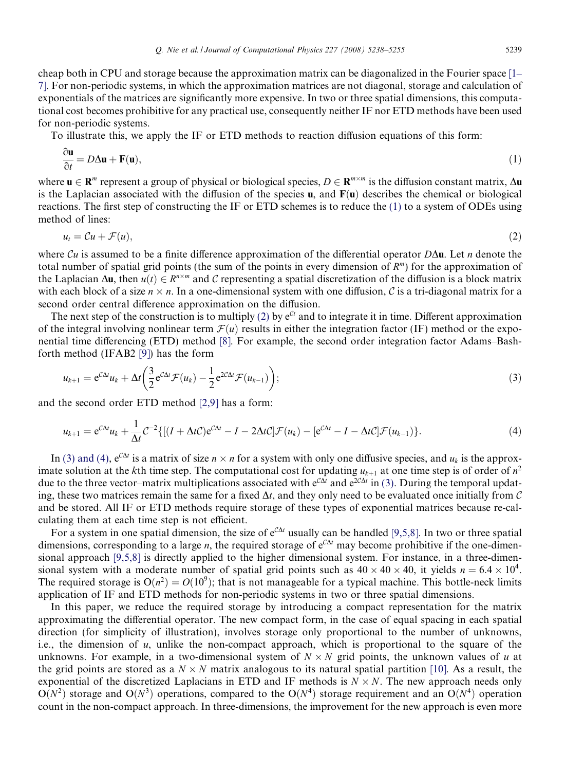<span id="page-1-0"></span>cheap both in CPU and storage because the approximation matrix can be diagonalized in the Fourier space [\[1–](#page-16-0) [7\].](#page-16-0) For non-periodic systems, in which the approximation matrices are not diagonal, storage and calculation of exponentials of the matrices are significantly more expensive. In two or three spatial dimensions, this computational cost becomes prohibitive for any practical use, consequently neither IF nor ETD methods have been used for non-periodic systems.

To illustrate this, we apply the IF or ETD methods to reaction diffusion equations of this form:

$$
\frac{\partial \mathbf{u}}{\partial t} = D\Delta \mathbf{u} + \mathbf{F}(\mathbf{u}),\tag{1}
$$

where  $u \in \mathbb{R}^m$  represent a group of physical or biological species,  $D \in \mathbb{R}^{m \times m}$  is the diffusion constant matrix,  $\Delta u$ is the Laplacian associated with the diffusion of the species  $\bf{u}$ , and  $\bf{F}(\bf{u})$  describes the chemical or biological reactions. The first step of constructing the IF or ETD schemes is to reduce the (1) to a system of ODEs using method of lines:

$$
u_t = \mathcal{C}u + \mathcal{F}(u),\tag{2}
$$

where Cu is assumed to be a finite difference approximation of the differential operator  $D\Delta$ u. Let n denote the total number of spatial grid points (the sum of the points in every dimension of  $R^m$ ) for the approximation of the Laplacian  $\Delta u$ , then  $u(t) \in R^{n \times m}$  and C representing a spatial discretization of the diffusion is a block matrix with each block of a size  $n \times n$ . In a one-dimensional system with one diffusion, C is a tri-diagonal matrix for a second order central difference approximation on the diffusion.

The next step of the construction is to multiply (2) by  $e^{Ct}$  and to integrate it in time. Different approximation of the integral involving nonlinear term  $\mathcal{F}(u)$  results in either the integration factor (IF) method or the exponential time differencing (ETD) method [\[8\]](#page-16-0). For example, the second order integration factor Adams–Bashforth method (IFAB2 [\[9\]](#page-16-0)) has the form

$$
u_{k+1} = e^{C\Delta t}u_k + \Delta t \left(\frac{3}{2}e^{C\Delta t}\mathcal{F}(u_k) - \frac{1}{2}e^{2C\Delta t}\mathcal{F}(u_{k-1})\right);
$$
\n(3)

and the second order ETD method [\[2,9\]](#page-16-0) has a form:

$$
u_{k+1} = e^{C\Delta t}u_k + \frac{1}{\Delta t}C^{-2}\{[(I + \Delta tC)e^{C\Delta t} - I - 2\Delta tC]\mathcal{F}(u_k) - [e^{C\Delta t} - I - \Delta tC]\mathcal{F}(u_{k-1})\}.
$$
\n(4)

In (3) and (4),  $e^{C\Delta t}$  is a matrix of size  $n \times n$  for a system with only one diffusive species, and  $u_k$  is the approximate solution at the kth time step. The computational cost for updating  $u_{k+1}$  at one time step is of order of  $n^2$ due to the three vector–matrix multiplications associated with  $e^{C\Delta t}$  and  $e^{2C\Delta t}$  in (3). During the temporal updating, these two matrices remain the same for a fixed  $\Delta t$ , and they only need to be evaluated once initially from C and be stored. All IF or ETD methods require storage of these types of exponential matrices because re-calculating them at each time step is not efficient.

For a system in one spatial dimension, the size of  $e^{C\Delta t}$  usually can be handled [\[9,5,8\]](#page-16-0). In two or three spatial dimensions, corresponding to a large *n*, the required storage of  $e^{C\Delta t}$  may become prohibitive if the one-dimensional approach [\[9,5,8\]](#page-16-0) is directly applied to the higher dimensional system. For instance, in a three-dimensional system with a moderate number of spatial grid points such as  $40 \times 40 \times 40$ , it yields  $n = 6.4 \times 10^4$ . The required storage is  $O(n^2) = O(10^9)$ ; that is not manageable for a typical machine. This bottle-neck limits application of IF and ETD methods for non-periodic systems in two or three spatial dimensions.

In this paper, we reduce the required storage by introducing a compact representation for the matrix approximating the differential operator. The new compact form, in the case of equal spacing in each spatial direction (for simplicity of illustration), involves storage only proportional to the number of unknowns, i.e., the dimension of  $u$ , unlike the non-compact approach, which is proportional to the square of the unknowns. For example, in a two-dimensional system of  $N \times N$  grid points, the unknown values of u at the grid points are stored as a  $N \times N$  matrix analogous to its natural spatial partition [\[10\]](#page-16-0). As a result, the exponential of the discretized Laplacians in ETD and IF methods is  $N \times N$ . The new approach needs only  $O(N^2)$  storage and  $O(N^3)$  operations, compared to the  $O(N^4)$  storage requirement and an  $O(N^4)$  operation count in the non-compact approach. In three-dimensions, the improvement for the new approach is even more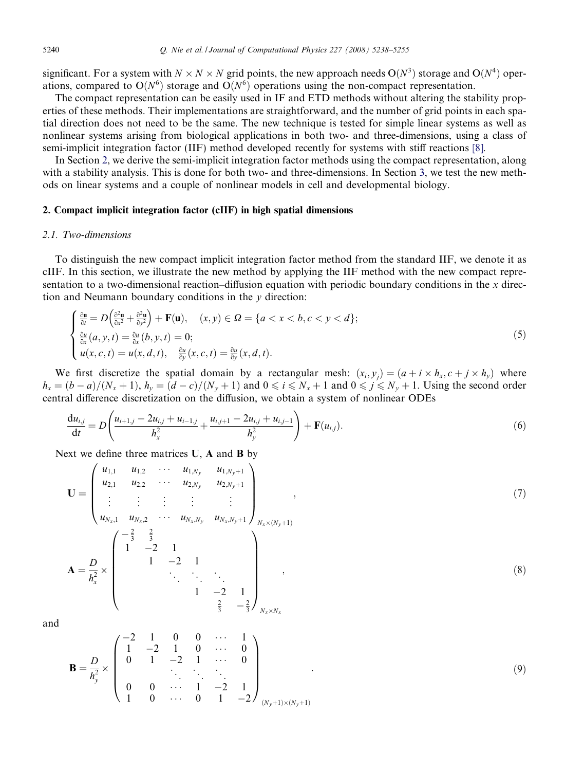<span id="page-2-0"></span>significant. For a system with  $N \times N \times N$  grid points, the new approach needs  $O(N^3)$  storage and  $O(N^4)$  operations, compared to  $O(N^6)$  storage and  $O(N^6)$  operations using the non-compact representation.

The compact representation can be easily used in IF and ETD methods without altering the stability properties of these methods. Their implementations are straightforward, and the number of grid points in each spatial direction does not need to be the same. The new technique is tested for simple linear systems as well as nonlinear systems arising from biological applications in both two- and three-dimensions, using a class of semi-implicit integration factor (IIF) method developed recently for systems with stiff reactions [\[8\].](#page-16-0)

In Section 2, we derive the semi-implicit integration factor methods using the compact representation, along with a stability analysis. This is done for both two- and three-dimensions. In Section [3](#page-10-0), we test the new methods on linear systems and a couple of nonlinear models in cell and developmental biology.

#### 2. Compact implicit integration factor (cIIF) in high spatial dimensions

#### 2.1. Two-dimensions

To distinguish the new compact implicit integration factor method from the standard IIF, we denote it as cIIF. In this section, we illustrate the new method by applying the IIF method with the new compact representation to a two-dimensional reaction–diffusion equation with periodic boundary conditions in the  $x$  direction and Neumann boundary conditions in the  $y$  direction:

$$
\begin{cases} \frac{\partial \mathbf{u}}{\partial t} = D\left(\frac{\partial^2 \mathbf{u}}{\partial x^2} + \frac{\partial^2 \mathbf{u}}{\partial y^2}\right) + \mathbf{F}(\mathbf{u}), \quad (x, y) \in \Omega = \{a < x < b, c < y < d\};\\ \frac{\partial u}{\partial x}(a, y, t) = \frac{\partial u}{\partial x}(b, y, t) = 0;\\ u(x, c, t) = u(x, d, t), \quad \frac{\partial u}{\partial y}(x, c, t) = \frac{\partial u}{\partial y}(x, d, t). \end{cases} \tag{5}
$$

We first discretize the spatial domain by a rectangular mesh:  $(x_i, y_j) = (a + i \times h_x, c + j \times h_y)$  where  $h_x = (b-a)/(N_x + 1)$ ,  $h_y = (d-c)/(N_y + 1)$  and  $0 \le i \le N_x + 1$  and  $0 \le j \le N_y + 1$ . Using the second order central difference discretization on the diffusion, we obtain a system of nonlinear ODEs

$$
\frac{du_{i,j}}{dt} = D\left(\frac{u_{i+1,j} - 2u_{i,j} + u_{i-1,j}}{h_x^2} + \frac{u_{i,j+1} - 2u_{i,j} + u_{i,j-1}}{h_y^2}\right) + \mathbf{F}(u_{i,j}).
$$
\n(6)

Next we define three matrices U, A and B by

$$
\mathbf{U} = \begin{pmatrix} u_{1,1} & u_{1,2} & \cdots & u_{1,N_y} & u_{1,N_y+1} \\ u_{2,1} & u_{2,2} & \cdots & u_{2,N_y} & u_{2,N_y+1} \\ \vdots & \vdots & \vdots & \vdots & \vdots \\ u_{N_x,1} & u_{N_x,2} & \cdots & u_{N_x,N_y} & u_{N_x,N_y+1} \end{pmatrix}_{N_x \times (N_y+1)}, \qquad (7)
$$
  

$$
\mathbf{A} = \frac{D}{h_x^2} \times \begin{pmatrix} -\frac{2}{3} & \frac{2}{3} & & & \\ 1 & -2 & 1 & & & \\ & 1 & -2 & 1 & & \\ & & \ddots & \ddots & \ddots & & \\ & & & 1 & -2 & 1 \\ & & & & \frac{2}{3} & -\frac{2}{3} \end{pmatrix}_{N_x \times N_x}, \qquad (8)
$$

and

$$
\mathbf{B} = \frac{D}{h_y^2} \times \begin{pmatrix} -2 & 1 & 0 & 0 & \cdots & 1 \\ 1 & -2 & 1 & 0 & \cdots & 0 \\ 0 & 1 & -2 & 1 & \cdots & 0 \\ & & \ddots & \ddots & \ddots & \ddots \\ 0 & 0 & \cdots & 1 & -2 & 1 \\ 1 & 0 & \cdots & 0 & 1 & -2 \end{pmatrix}_{(N_y+1)\times(N_y+1)}
$$
(9)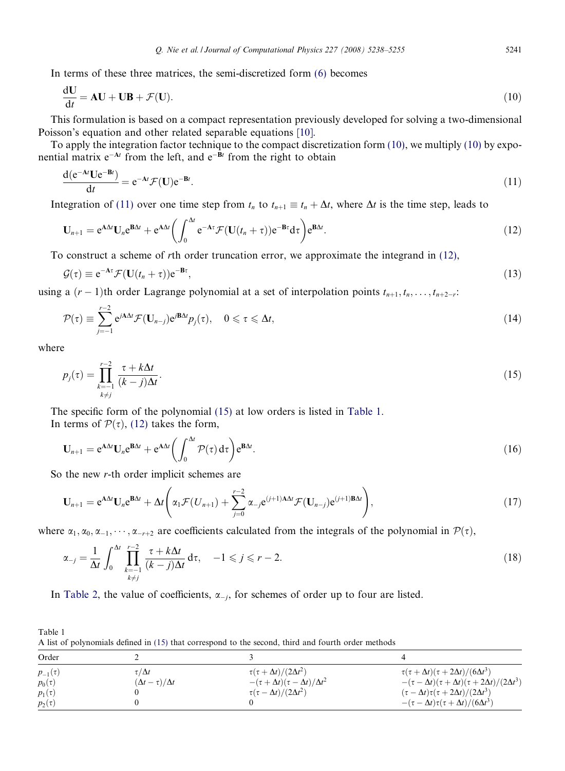<span id="page-3-0"></span>In terms of these three matrices, the semi-discretized form [\(6\)](#page-2-0) becomes

$$
\frac{dU}{dt} = AU + UB + \mathcal{F}(U). \tag{10}
$$

This formulation is based on a compact representation previously developed for solving a two-dimensional Poisson's equation and other related separable equations [\[10\].](#page-16-0)

To apply the integration factor technique to the compact discretization form  $(10)$ , we multiply  $(10)$  by exponential matrix  $e^{-At}$  from the left, and  $e^{-Bt}$  from the right to obtain

$$
\frac{\mathrm{d}(\mathrm{e}^{-\mathbf{A}t}\mathbf{U}\mathrm{e}^{-\mathbf{B}t})}{\mathrm{d}t} = \mathrm{e}^{-\mathbf{A}t}\mathcal{F}(\mathbf{U})\mathrm{e}^{-\mathbf{B}t}.\tag{11}
$$

Integration of (11) over one time step from  $t_n$  to  $t_{n+1} \equiv t_n + \Delta t$ , where  $\Delta t$  is the time step, leads to

$$
\mathbf{U}_{n+1} = e^{\mathbf{A}\Delta t}\mathbf{U}_n e^{\mathbf{B}\Delta t} + e^{\mathbf{A}\Delta t} \left( \int_0^{\Delta t} e^{-\mathbf{A}\tau} \mathcal{F}(\mathbf{U}(t_n + \tau)) e^{-\mathbf{B}\tau} d\tau \right) e^{\mathbf{B}\Delta t}.
$$
 (12)

To construct a scheme of rth order truncation error, we approximate the integrand in (12),

$$
\mathcal{G}(\tau) \equiv e^{-A\tau} \mathcal{F}(\mathbf{U}(t_n + \tau)) e^{-B\tau}, \tag{13}
$$

using a  $(r-1)$ th order Lagrange polynomial at a set of interpolation points  $t_{n+1}, t_n, \ldots, t_{n+2-r}$ :

$$
\mathcal{P}(\tau) \equiv \sum_{j=-1}^{r-2} e^{j\mathbf{A}\Delta t} \mathcal{F}(\mathbf{U}_{n-j}) e^{j\mathbf{B}\Delta t} p_j(\tau), \quad 0 \leq \tau \leq \Delta t,
$$
\n(14)

where

$$
p_j(\tau) = \prod_{\substack{k=-1\\k \neq j}}^{r-2} \frac{\tau + k\Delta t}{(k-j)\Delta t}.
$$
\n(15)

The specific form of the polynomial (15) at low orders is listed in Table 1. In terms of  $\mathcal{P}(\tau)$ , (12) takes the form,

$$
\mathbf{U}_{n+1} = e^{\mathbf{A}\Delta t}\mathbf{U}_n e^{\mathbf{B}\Delta t} + e^{\mathbf{A}\Delta t} \left(\int_0^{\Delta t} \mathcal{P}(\tau) d\tau\right) e^{\mathbf{B}\Delta t}.\tag{16}
$$

So the new r-th order implicit schemes are

$$
\mathbf{U}_{n+1} = \mathbf{e}^{\mathbf{A}\Delta t}\mathbf{U}_n\mathbf{e}^{\mathbf{B}\Delta t} + \Delta t \left(\alpha_1 \mathcal{F}(U_{n+1}) + \sum_{j=0}^{r-2} \alpha_{-j} \mathbf{e}^{(j+1)\mathbf{A}\Delta t} \mathcal{F}(\mathbf{U}_{n-j})\mathbf{e}^{(j+1)\mathbf{B}\Delta t}\right),\tag{17}
$$

where  $\alpha_1, \alpha_0, \alpha_{-1}, \cdots, \alpha_{-r+2}$  are coefficients calculated from the integrals of the polynomial in  $\mathcal{P}(\tau)$ ,

$$
\alpha_{-j} = \frac{1}{\Delta t} \int_0^{\Delta t} \prod_{\substack{k=-1\\k \neq j}}^{r-2} \frac{\tau + k\Delta t}{(k-j)\Delta t} d\tau, \quad -1 \leqslant j \leqslant r-2.
$$
\n(18)

In [Table 2,](#page-4-0) the value of coefficients,  $\alpha_{-i}$ , for schemes of order up to four are listed.

Table 1 A list of polynomials defined in (15) that correspond to the second, third and fourth order methods

| Order          |                              |                                                  |                                                                 |
|----------------|------------------------------|--------------------------------------------------|-----------------------------------------------------------------|
| $p_{-1}(\tau)$ | $\tau/\Delta t$              | $\tau(\tau + \Delta t)/(2\Delta t^2)$            | $\tau(\tau + \Delta t)(\tau + 2\Delta t)/(6\Delta t^3)$         |
| $p_0(\tau)$    | $(\Delta t - \tau)/\Delta t$ | $-(\tau + \Delta t)(\tau - \Delta t)/\Delta t^2$ | $-(\tau-\Delta t)(\tau+\Delta t)(\tau+2\Delta t)/(2\Delta t^3)$ |
| $p_1(\tau)$    |                              | $\tau(\tau - \Delta t)/(2\Delta t^2)$            | $(\tau - \Delta t)\tau(\tau + 2\Delta t)/(2\Delta t^3)$         |
| $p_2(\tau)$    |                              |                                                  | $-(\tau-\Delta t)\tau(\tau+\Delta t)/(6\Delta t^3)$             |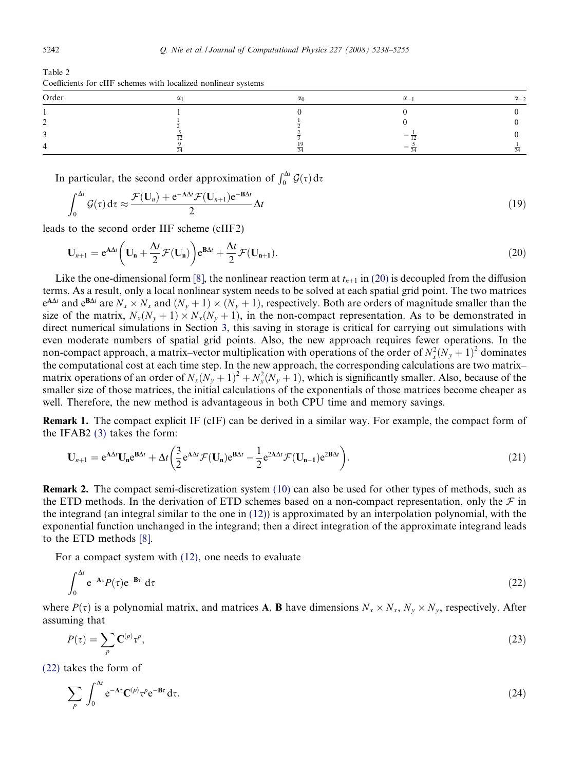| Order | $\sim$ | $\alpha_0$ | $\alpha$ | $\alpha_{-2}$ |
|-------|--------|------------|----------|---------------|
|       |        |            |          |               |
|       |        |            |          |               |
|       |        |            |          |               |
|       |        |            |          |               |

<span id="page-4-0"></span>Table 2 Coefficients for cIIF schemes with localized nonlinear systems

In particular, the second order approximation of  $\int_0^{\Delta t} \mathcal{G}(\tau) d\tau$ 

$$
\int_0^{\Delta t} \mathcal{G}(\tau) d\tau \approx \frac{\mathcal{F}(\mathbf{U}_n) + e^{-A\Delta t} \mathcal{F}(\mathbf{U}_{n+1}) e^{-B\Delta t}}{2} \Delta t \tag{19}
$$

leads to the second order IIF scheme (cIIF2)

$$
\mathbf{U}_{n+1} = e^{A\Delta t} \left( \mathbf{U}_n + \frac{\Delta t}{2} \mathcal{F}(\mathbf{U}_n) \right) e^{B\Delta t} + \frac{\Delta t}{2} \mathcal{F}(\mathbf{U}_{n+1}).
$$
\n(20)

Like the one-dimensional form [\[8\],](#page-16-0) the nonlinear reaction term at  $t_{n+1}$  in (20) is decoupled from the diffusion terms. As a result, only a local nonlinear system needs to be solved at each spatial grid point. The two matrices  $e^{AAt}$  and  $e^{BAt}$  are  $N_x \times N_x$  and  $(N_y + 1) \times (N_y + 1)$ , respectively. Both are orders of magnitude smaller than the size of the matrix,  $N_x(N_y + 1) \times N_x(N_y + 1)$ , in the non-compact representation. As to be demonstrated in direct numerical simulations in Section [3,](#page-10-0) this saving in storage is critical for carrying out simulations with even moderate numbers of spatial grid points. Also, the new approach requires fewer operations. In the non-compact approach, a matrix–vector multiplication with operations of the order of  $N_x^2(N_y+1)^2$  dominates the computational cost at each time step. In the new approach, the corresponding calculations are two matrix– matrix operations of an order of  $N_x(N_y + 1)^2 + N_x^2(N_y + 1)$ , which is significantly smaller. Also, because of the smaller size of those matrices, the initial calculations of the exponentials of those matrices become cheaper as well. Therefore, the new method is advantageous in both CPU time and memory savings.

Remark 1. The compact explicit IF (cIF) can be derived in a similar way. For example, the compact form of the IFAB2 [\(3\)](#page-1-0) takes the form:

$$
\mathbf{U}_{n+1} = e^{A\Delta t} \mathbf{U}_n e^{B\Delta t} + \Delta t \left( \frac{3}{2} e^{A\Delta t} \mathcal{F}(\mathbf{U}_n) e^{B\Delta t} - \frac{1}{2} e^{2A\Delta t} \mathcal{F}(\mathbf{U}_{n-1}) e^{2B\Delta t} \right).
$$
\n(21)

Remark 2. The compact semi-discretization system [\(10\)](#page-3-0) can also be used for other types of methods, such as the ETD methods. In the derivation of ETD schemes based on a non-compact representation, only the  $\mathcal F$  in the integrand (an integral similar to the one in [\(12\)\)](#page-3-0) is approximated by an interpolation polynomial, with the exponential function unchanged in the integrand; then a direct integration of the approximate integrand leads to the ETD methods [\[8\].](#page-16-0)

For a compact system with [\(12\),](#page-3-0) one needs to evaluate

$$
\int_0^{\Delta t} e^{-A\tau} P(\tau) e^{-B\tau} d\tau \tag{22}
$$

where  $P(\tau)$  is a polynomial matrix, and matrices **A**, **B** have dimensions  $N_x \times N_x$ ,  $N_y \times N_y$ , respectively. After assuming that

$$
P(\tau) = \sum_{p} \mathbf{C}^{(p)} \tau^{p}, \tag{23}
$$

(22) takes the form of

$$
\sum_{p} \int_{0}^{\Delta t} e^{-A\tau} \mathbf{C}^{(p)} \tau^{p} e^{-\mathbf{B}\tau} d\tau.
$$
 (24)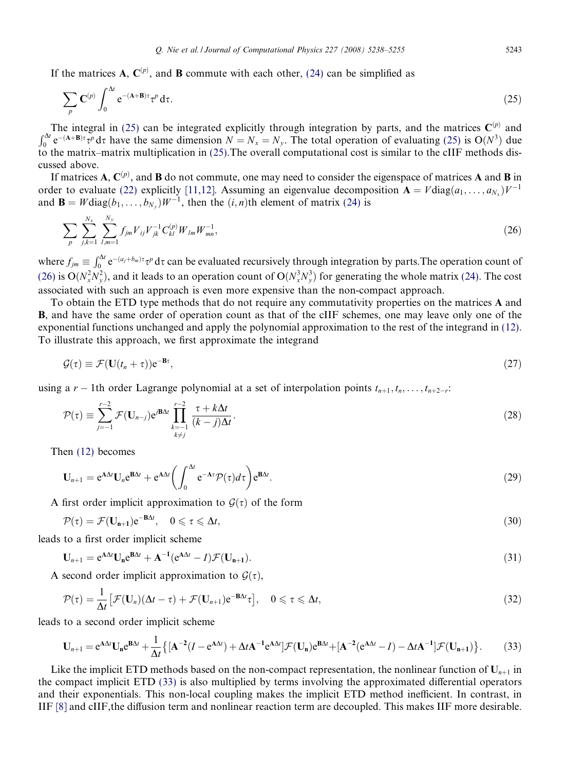If the matrices **A**,  $C^{(p)}$ , and **B** commute with each other, [\(24\)](#page-4-0) can be simplified as

$$
\sum_{p} \mathbf{C}^{(p)} \int_{0}^{\Delta t} e^{-(\mathbf{A} + \mathbf{B})\tau} \tau^{p} d\tau.
$$
 (25)

The integral in (25) can be integrated explicitly through integration by parts, and the matrices  $\mathbf{C}^{(p)}$  and  $\int_0^{\Delta t} e^{-(\mathbf{A}+\mathbf{B})\tau} \tau^p d\tau$  have the same dimension  $N = N_x = N_y$ . The total operation of evaluating ( to the matrix–matrix multiplication in (25).The overall computational cost is similar to the cIIF methods discussed above.

If matrices A,  $\mathbf{C}^{(p)}$ , and **B** do not commute, one may need to consider the eigenspace of matrices A and **B** in order to evaluate [\(22\)](#page-4-0) explicitly [\[11,12\]](#page-16-0). Assuming an eigenvalue decomposition  $A = V \text{diag}(a_1, \ldots, a_{N_x}) V^{-1}$ and  $\mathbf{B} = W \text{diag}(b_1, \ldots, b_N) W^{-1}$ , then the  $(i, n)$ th element of matrix [\(24\)](#page-4-0) is

$$
\sum_{p} \sum_{j,k=1}^{N_x} \sum_{l,m=1}^{N_y} f_{jm} V_{ij} V_{jk}^{-1} C_{kl}^{(p)} W_{lm} W_{mn}^{-1}, \qquad (26)
$$

where  $f_{jm} \equiv \int_0^{\Delta t} e^{-(a_j+b_m)\tau} \tau^p d\tau$  can be evaluated recursively through integration by parts. The operation count of (26) is  $O(N_x^2 N_y^2)$ , and it leads to an operation count of  $O(N_x^3 N_y^3)$  for generating the whole matrix [\(24\).](#page-4-0) The cost associated with such an approach is even more expensive than the non-compact approach.

To obtain the ETD type methods that do not require any commutativity properties on the matrices A and B, and have the same order of operation count as that of the cIIF schemes, one may leave only one of the exponential functions unchanged and apply the polynomial approximation to the rest of the integrand in [\(12\)](#page-3-0). To illustrate this approach, we first approximate the integrand

$$
\mathcal{G}(\tau) \equiv \mathcal{F}(\mathbf{U}(t_n + \tau))\mathbf{e}^{-\mathbf{B}\tau},\tag{27}
$$

using a r – 1th order Lagrange polynomial at a set of interpolation points  $t_{n+1}, t_n, \ldots, t_{n+2-r}$ :

$$
\mathcal{P}(\tau) \equiv \sum_{j=-1}^{r-2} \mathcal{F}(\mathbf{U}_{n-j}) e^{j\mathbf{B}\Delta t} \prod_{\substack{k=-1\\k\neq j}}^{r-2} \frac{\tau + k\Delta t}{(k-j)\Delta t}.
$$
\n(28)

Then [\(12\)](#page-3-0) becomes

$$
\mathbf{U}_{n+1} = e^{\mathbf{A}\Delta t}\mathbf{U}_n e^{\mathbf{B}\Delta t} + e^{\mathbf{A}\Delta t} \left( \int_0^{\Delta t} e^{-\mathbf{A}\tau} \mathcal{P}(\tau) d\tau \right) e^{\mathbf{B}\Delta t}.
$$
 (29)

A first order implicit approximation to  $\mathcal{G}(\tau)$  of the form

$$
\mathcal{P}(\tau) = \mathcal{F}(\mathbf{U}_{n+1})e^{-B\Delta t}, \quad 0 \leq \tau \leq \Delta t,\tag{30}
$$

leads to a first order implicit scheme

$$
\mathbf{U}_{n+1} = e^{A\Delta t} \mathbf{U}_n e^{B\Delta t} + A^{-1} (e^{A\Delta t} - I) \mathcal{F}(\mathbf{U}_{n+1}).
$$
\n(31)

A second order implicit approximation to  $G(\tau)$ ,

$$
\mathcal{P}(\tau) = \frac{1}{\Delta t} \left[ \mathcal{F}(\mathbf{U}_n) (\Delta t - \tau) + \mathcal{F}(\mathbf{U}_{n+1}) e^{-\mathbf{B} \Delta t} \tau \right], \quad 0 \leq \tau \leq \Delta t,
$$
\n(32)

leads to a second order implicit scheme

$$
\mathbf{U}_{n+1} = e^{\mathbf{A}\Delta t}\mathbf{U}_n e^{\mathbf{B}\Delta t} + \frac{1}{\Delta t} \left\{ \left[ \mathbf{A}^{-2} (I - e^{\mathbf{A}\Delta t}) + \Delta t \mathbf{A}^{-1} e^{\mathbf{A}\Delta t} \right] \mathcal{F}(\mathbf{U}_n) e^{\mathbf{B}\Delta t} + \left[ \mathbf{A}^{-2} (e^{\mathbf{A}\Delta t} - I) - \Delta t \mathbf{A}^{-1} \right] \mathcal{F}(\mathbf{U}_{n+1}) \right\}.
$$
 (33)

Like the implicit ETD methods based on the non-compact representation, the nonlinear function of  $U_{n+1}$  in the compact implicit ETD (33) is also multiplied by terms involving the approximated differential operators and their exponentials. This non-local coupling makes the implicit ETD method inefficient. In contrast, in IIF [\[8\]](#page-16-0) and cIIF,the diffusion term and nonlinear reaction term are decoupled. This makes IIF more desirable.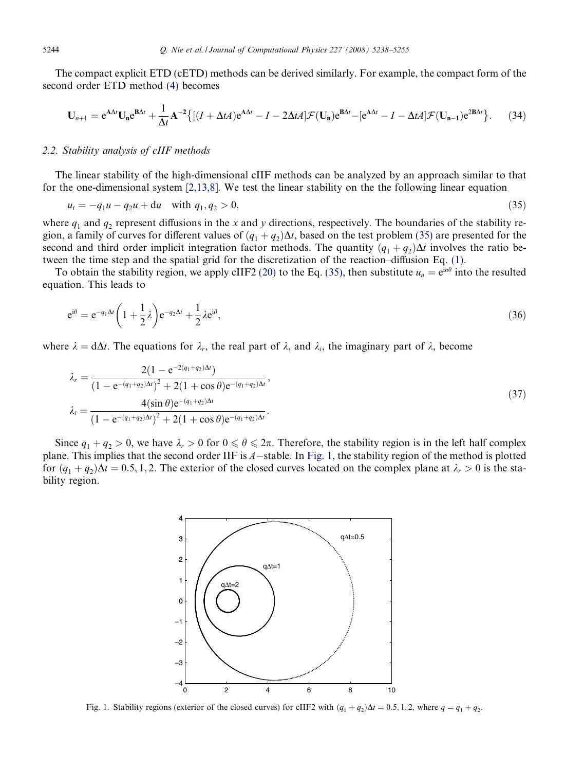The compact explicit ETD (cETD) methods can be derived similarly. For example, the compact form of the second order ETD method [\(4\)](#page-1-0) becomes

$$
\mathbf{U}_{n+1} = e^{\mathbf{A}\Delta t}\mathbf{U}_{n}e^{\mathbf{B}\Delta t} + \frac{1}{\Delta t}\mathbf{A}^{-2}\big\{[(I + \Delta tA)e^{\mathbf{A}\Delta t} - I - 2\Delta tA]\mathcal{F}(\mathbf{U}_{n})e^{\mathbf{B}\Delta t} - [e^{\mathbf{A}\Delta t} - I - \Delta tA]\mathcal{F}(\mathbf{U}_{n-1})e^{\mathbf{2B}\Delta t}\big\}.
$$
 (34)

## 2.2. Stability analysis of cIIF methods

The linear stability of the high-dimensional cIIF methods can be analyzed by an approach similar to that for the one-dimensional system [\[2,13,8\]](#page-16-0). We test the linear stability on the the following linear equation

$$
u_t = -q_1 u - q_2 u + du \quad \text{with } q_1, q_2 > 0,
$$
\n<sup>(35)</sup>

where  $q_1$  and  $q_2$  represent diffusions in the x and y directions, respectively. The boundaries of the stability region, a family of curves for different values of  $(q_1 + q_2)\Delta t$ , based on the test problem (35) are presented for the second and third order implicit integration factor methods. The quantity  $(q_1 + q_2)\Delta t$  involves the ratio between the time step and the spatial grid for the discretization of the reaction–diffusion Eq. [\(1\).](#page-1-0)

To obtain the stability region, we apply cIIF2 [\(20\)](#page-4-0) to the Eq. (35), then substitute  $u_n = e^{in\theta}$  into the resulted equation. This leads to

$$
e^{i\theta} = e^{-q_1 \Delta t} \left( 1 + \frac{1}{2} \lambda \right) e^{-q_2 \Delta t} + \frac{1}{2} \lambda e^{i\theta}, \tag{36}
$$

where  $\lambda = d\Delta t$ . The equations for  $\lambda_r$ , the real part of  $\lambda$ , and  $\lambda_i$ , the imaginary part of  $\lambda$ , become

$$
\lambda_r = \frac{2(1 - e^{-2(q_1 + q_2)\Delta t})}{(1 - e^{-(q_1 + q_2)\Delta t})^2 + 2(1 + \cos \theta)e^{-(q_1 + q_2)\Delta t}},
$$
\n
$$
\lambda_i = \frac{4(\sin \theta)e^{-(q_1 + q_2)\Delta t}}{(1 - e^{-(q_1 + q_2)\Delta t})^2 + 2(1 + \cos \theta)e^{-(q_1 + q_2)\Delta t}}.
$$
\n(37)

Since  $q_1 + q_2 > 0$ , we have  $\lambda_r > 0$  for  $0 \le \theta \le 2\pi$ . Therefore, the stability region is in the left half complex plane. This implies that the second order IIF is  $A$ -stable. In Fig. 1, the stability region of the method is plotted for  $(q_1 + q_2)\Delta t = 0.5, 1, 2$ . The exterior of the closed curves located on the complex plane at  $\lambda_r > 0$  is the stability region.



Fig. 1. Stability regions (exterior of the closed curves) for cIIF2 with  $(q_1 + q_2)\Delta t = 0.5, 1, 2$ , where  $q = q_1 + q_2$ .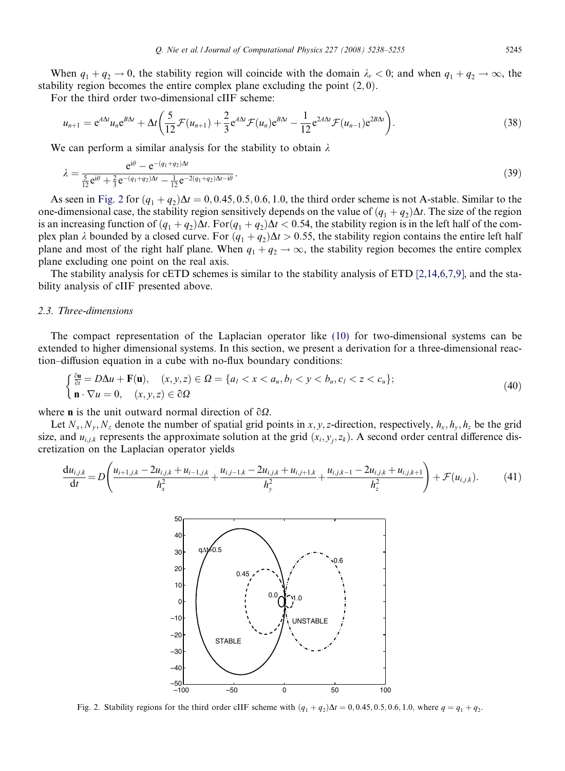<span id="page-7-0"></span>When  $q_1 + q_2 \rightarrow 0$ , the stability region will coincide with the domain  $\lambda_r < 0$ ; and when  $q_1 + q_2 \rightarrow \infty$ , the stability region becomes the entire complex plane excluding the point  $(2, 0)$ .

For the third order two-dimensional cIIF scheme:

$$
u_{n+1} = e^{A\Delta t}u_n e^{B\Delta t} + \Delta t \left(\frac{5}{12}\mathcal{F}(u_{n+1}) + \frac{2}{3}e^{A\Delta t}\mathcal{F}(u_n)e^{B\Delta t} - \frac{1}{12}e^{2A\Delta t}\mathcal{F}(u_{n-1})e^{2B\Delta t}\right).
$$
\n(38)

We can perform a similar analysis for the stability to obtain  $\lambda$ 

$$
\lambda = \frac{e^{i\theta} - e^{-(q_1 + q_2)\Delta t}}{12} \cdot \frac{e^{i\theta} - e^{-(q_1 + q_2)\Delta t}}{12} \cdot \frac{1}{12} e^{-2(q_1 + q_2)\Delta t - i\theta} \cdot (39)
$$

As seen in Fig. 2 for  $(q_1 + q_2)\Delta t = 0, 0.45, 0.5, 0.6, 1.0$ , the third order scheme is not A-stable. Similar to the one-dimensional case, the stability region sensitively depends on the value of  $(q_1 + q_2)\Delta t$ . The size of the region is an increasing function of  $(q_1 + q_2)\Delta t$ . For  $(q_1 + q_2)\Delta t < 0.54$ , the stability region is in the left half of the complex plan  $\lambda$  bounded by a closed curve. For  $(q_1 + q_2)\Delta t > 0.55$ , the stability region contains the entire left half plane and most of the right half plane. When  $q_1 + q_2 \rightarrow \infty$ , the stability region becomes the entire complex plane excluding one point on the real axis.

The stability analysis for cETD schemes is similar to the stability analysis of ETD [\[2,14,6,7,9\]](#page-16-0), and the stability analysis of cIIF presented above.

## 2.3. Three-dimensions

The compact representation of the Laplacian operator like [\(10\)](#page-3-0) for two-dimensional systems can be extended to higher dimensional systems. In this section, we present a derivation for a three-dimensional reaction–diffusion equation in a cube with no-flux boundary conditions:

$$
\begin{cases} \frac{\partial \mathbf{u}}{\partial t} = D\Delta u + \mathbf{F}(\mathbf{u}), & (x, y, z) \in \Omega = \{a_l < x < a_u, b_l < y < b_u, c_l < z < c_u\}; \\ \mathbf{n} \cdot \nabla u = 0, & (x, y, z) \in \partial \Omega \end{cases} \tag{40}
$$

where **n** is the unit outward normal direction of  $\partial\Omega$ .

Let  $N_x, N_y, N_z$  denote the number of spatial grid points in x, y, z-direction, respectively,  $h_x, h_y, h_z$  be the grid size, and  $u_{i,j,k}$  represents the approximate solution at the grid  $(x_i, y_j, z_k)$ . A second order central difference discretization on the Laplacian operator yields

$$
\frac{du_{i,j,k}}{dt} = D\left(\frac{u_{i+1,j,k} - 2u_{i,j,k} + u_{i-1,j,k}}{h_x^2} + \frac{u_{i,j-1,k} - 2u_{i,j,k} + u_{i,j+1,k}}{h_y^2} + \frac{u_{i,j,k-1} - 2u_{i,j,k} + u_{i,j,k+1}}{h_z^2}\right) + \mathcal{F}(u_{i,j,k}).
$$
 (41)



Fig. 2. Stability regions for the third order cIIF scheme with  $(q_1 + q_2)\Delta t = 0, 0.45, 0.5, 0.6, 1.0$ , where  $q = q_1 + q_2$ .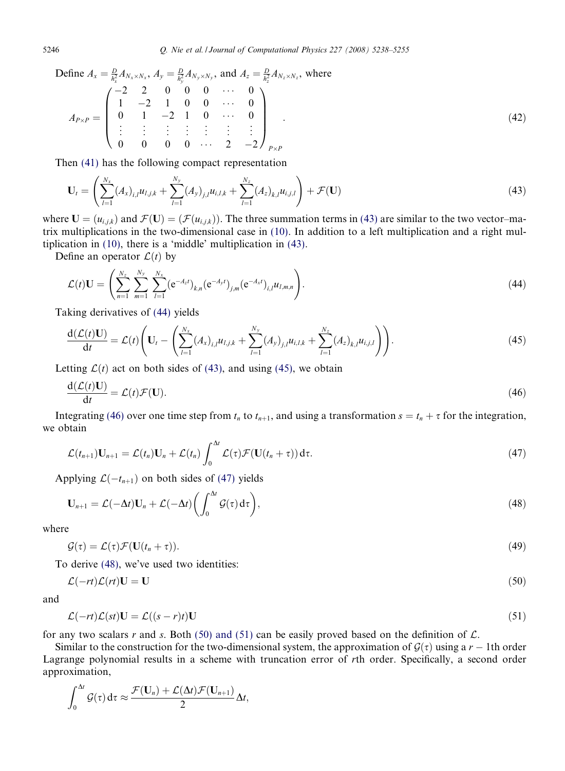<span id="page-8-0"></span>Define  $A_x = \frac{D}{h_x^2} A_{N_x \times N_x}$ ,  $A_y = \frac{D}{h_y^2} A_{N_y \times N_y}$ , and  $A_z = \frac{D}{h_z^2} A_{N_z \times N_z}$ , where  $A_{P\times P}=$  $-2$  2 0 0 0  $\cdots$  0  $1 \t -2 \t 1 \t 0 \t 0 \t \cdots \t 0$  $0 \t 1 \t -2 \t 1 \t 0 \t \cdots \t 0$ . . . . . . . . . . . . . . . . . . . . .  $0 \t 0 \t 0 \t 0 \t \cdots \t 2 \t -2$  $\overline{1}$  $\vert$  $\sqrt{2}$  $\Bigg\}$  $P\times$ P  $(42)$ 

Then [\(41\)](#page-7-0) has the following compact representation

$$
\mathbf{U}_{t} = \left( \sum_{l=1}^{N_{x}} (A_{x})_{i,l} u_{l,j,k} + \sum_{l=1}^{N_{y}} (A_{y})_{j,l} u_{i,l,k} + \sum_{l=1}^{N_{z}} (A_{z})_{k,l} u_{i,j,l} \right) + \mathcal{F}(\mathbf{U})
$$
\n(43)

where  $U = (u_{i,j,k})$  and  $\mathcal{F}(U) = (\mathcal{F}(u_{i,j,k}))$ . The three summation terms in (43) are similar to the two vector–matrix multiplications in the two-dimensional case in [\(10\).](#page-3-0) In addition to a left multiplication and a right multiplication in [\(10\)](#page-3-0), there is a 'middle' multiplication in (43).

Define an operator  $\mathcal{L}(t)$  by

$$
\mathcal{L}(t)\mathbf{U} = \left(\sum_{n=1}^{N_z} \sum_{m=1}^{N_y} \sum_{l=1}^{N_x} (e^{-A_z t})_{k,n} (e^{-A_y t})_{j,m} (e^{-A_x t})_{i,l} u_{l,m,n}\right).
$$
\n(44)

Taking derivatives of (44) yields

$$
\frac{d(\mathcal{L}(t)\mathbf{U})}{dt} = \mathcal{L}(t) \left( \mathbf{U}_t - \left( \sum_{l=1}^{N_x} (A_x)_{i,l} u_{l,j,k} + \sum_{l=1}^{N_y} (A_y)_{j,l} u_{i,l,k} + \sum_{l=1}^{N_z} (A_z)_{k,l} u_{i,j,l} \right) \right).
$$
(45)

Letting  $\mathcal{L}(t)$  act on both sides of (43), and using (45), we obtain

$$
\frac{\mathrm{d}(\mathcal{L}(t)\mathbf{U})}{\mathrm{d}t} = \mathcal{L}(t)\mathcal{F}(\mathbf{U}).
$$
\n(46)

Integrating (46) over one time step from  $t_n$  to  $t_{n+1}$ , and using a transformation  $s = t_n + \tau$  for the integration, we obtain

$$
\mathcal{L}(t_{n+1})\mathbf{U}_{n+1} = \mathcal{L}(t_n)\mathbf{U}_n + \mathcal{L}(t_n)\int_0^{\Delta t} \mathcal{L}(\tau)\mathcal{F}(\mathbf{U}(t_n+\tau))\,\mathrm{d}\tau.
$$
\n(47)

Applying  $\mathcal{L}(-t_{n+1})$  on both sides of (47) yields

$$
\mathbf{U}_{n+1} = \mathcal{L}(-\Delta t)\mathbf{U}_n + \mathcal{L}(-\Delta t)\bigg(\int_0^{\Delta t} \mathcal{G}(\tau) d\tau\bigg),\tag{48}
$$

where

$$
\mathcal{G}(\tau) = \mathcal{L}(\tau)\mathcal{F}(\mathbf{U}(t_n + \tau)). \tag{49}
$$

To derive (48), we've used two identities:

$$
\mathcal{L}(-rt)\mathcal{L}(rt)\mathbf{U} = \mathbf{U} \tag{50}
$$

and

$$
\mathcal{L}(-rt)\mathcal{L}(st)\mathbf{U} = \mathcal{L}((s-r)t)\mathbf{U}
$$
\n(51)

for any two scalars r and s. Both (50) and (51) can be easily proved based on the definition of  $\mathcal{L}$ .

Similar to the construction for the two-dimensional system, the approximation of  $\mathcal{G}(\tau)$  using a r – 1th order Lagrange polynomial results in a scheme with truncation error of rth order. Specifically, a second order approximation,

$$
\int_0^{\Delta t} \mathcal{G}(\tau) d\tau \approx \frac{\mathcal{F}(\mathbf{U}_n) + \mathcal{L}(\Delta t) \mathcal{F}(\mathbf{U}_{n+1})}{2} \Delta t,
$$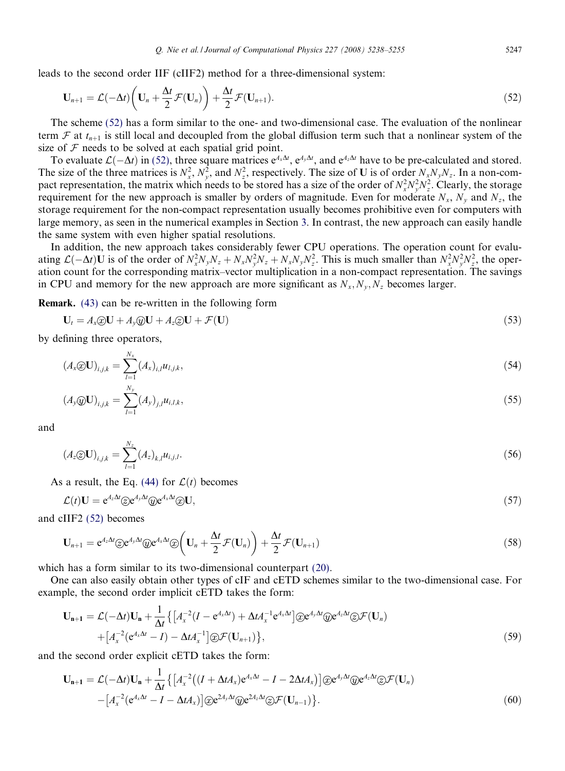leads to the second order IIF (cIIF2) method for a three-dimensional system:

$$
\mathbf{U}_{n+1} = \mathcal{L}(-\Delta t) \left( \mathbf{U}_n + \frac{\Delta t}{2} \mathcal{F}(\mathbf{U}_n) \right) + \frac{\Delta t}{2} \mathcal{F}(\mathbf{U}_{n+1}).
$$
\n(52)

The scheme (52) has a form similar to the one- and two-dimensional case. The evaluation of the nonlinear term  $\mathcal F$  at  $t_{n+1}$  is still local and decoupled from the global diffusion term such that a nonlinear system of the size of  $F$  needs to be solved at each spatial grid point.

To evaluate  $\mathcal{L}(-\Delta t)$  in (52), three square matrices  $e^{A_x \Delta t}$ ,  $e^{A_y \Delta t}$ , and  $e^{A_z \Delta t}$  have to be pre-calculated and stored. The size of the three matrices is  $N_x^2$ ,  $N_y^2$ , and  $N_z^2$ , respectively. The size of U is of order  $N_xN_yN_z$ . In a non-compact representation, the matrix which needs to be stored has a size of the order of  $N_x^2 N_y^2 N_z^2$ . Clearly, the storage requirement for the new approach is smaller by orders of magnitude. Even for moderate  $N_x$ ,  $N_y$  and  $N_z$ , the storage requirement for the non-compact representation usually becomes prohibitive even for computers with large memory, as seen in the numerical examples in Section [3](#page-10-0). In contrast, the new approach can easily handle the same system with even higher spatial resolutions.

In addition, the new approach takes considerably fewer CPU operations. The operation count for evaluating  $\mathcal{L}(-\Delta t)$ U is of the order of  $N_x^2N_yN_z + N_xN_y^2N_z + N_xN_yN_z^2$ . This is much smaller than  $N_x^2N_y^2N_z^2$ , the operation count for the corresponding matrix–vector multiplication in a non-compact representation. The savings in CPU and memory for the new approach are more significant as  $N_x, N_y, N_z$  becomes larger.

Remark. [\(43\)](#page-8-0) can be re-written in the following form

$$
\mathbf{U}_t = A_x \textcircled{x} \mathbf{U} + A_y \textcircled{y} \mathbf{U} + A_z \textcircled{z} \mathbf{U} + \mathcal{F}(\mathbf{U}) \tag{53}
$$

by defining three operators,

$$
(A_x \circledx \mathbf{U})_{i,j,k} = \sum_{l=1}^{N_x} (A_x)_{i,l} u_{l,j,k},
$$
\n(54)

$$
(A_{y} \mathcal{D} \mathbf{U})_{i,j,k} = \sum_{l=1}^{N_{y}} (A_{y})_{j,l} u_{i,l,k},
$$
\n(55)

and

$$
(A_z \otimes \mathbf{U})_{i,j,k} = \sum_{l=1}^{N_z} (A_z)_{k,l} u_{i,j,l}.
$$
 (56)

As a result, the Eq. [\(44\)](#page-8-0) for  $\mathcal{L}(t)$  becomes

$$
\mathcal{L}(t)\mathbf{U} = \mathbf{e}^{A_z \Delta t} \otimes \mathbf{e}^{A_y \Delta t} \otimes \mathbf{e}^{A_x \Delta t} \otimes \mathbf{U},\tag{57}
$$

and cIIF2 (52) becomes

$$
\mathbf{U}_{n+1} = e^{A_2 \Delta t} \otimes e^{A_3 \Delta t} \otimes e^{A_3 \Delta t} \otimes \left( \mathbf{U}_n + \frac{\Delta t}{2} \mathcal{F}(\mathbf{U}_n) \right) + \frac{\Delta t}{2} \mathcal{F}(\mathbf{U}_{n+1})
$$
\n(58)

which has a form similar to its two-dimensional counterpart [\(20\).](#page-4-0)

One can also easily obtain other types of cIF and cETD schemes similar to the two-dimensional case. For example, the second order implicit cETD takes the form:

$$
\mathbf{U}_{n+1} = \mathcal{L}(-\Delta t)\mathbf{U}_n + \frac{1}{\Delta t} \{ \left[ A_x^{-2} (I - e^{A_x \Delta t}) + \Delta t A_x^{-1} e^{A_x \Delta t} \right] \widehat{\otimes} e^{A_y \Delta t} \widehat{\otimes} e^{A_z \Delta t} \widehat{\otimes} \mathcal{F}(\mathbf{U}_n) + \left[ A_x^{-2} (e^{A_x \Delta t} - I) - \Delta t A_x^{-1} \right] \widehat{\otimes} \mathcal{F}(\mathbf{U}_{n+1}) \},
$$
\n
$$
(59)
$$

and the second order explicit cETD takes the form:

$$
\mathbf{U}_{n+1} = \mathcal{L}(-\Delta t)\mathbf{U}_n + \frac{1}{\Delta t} \left\{ \left[ A_x^{-2} \left( (I + \Delta t A_x) e^{A_x \Delta t} - I - 2 \Delta t A_x \right) \right] \circledcirc e^{A_y \Delta t} \circledcirc e^{A_z \Delta t} \otimes \mathcal{F}(\mathbf{U}_n) - \left[ A_x^{-2} (e^{A_x \Delta t} - I - \Delta t A_x) \right] \circledcirc e^{2A_y \Delta t} \circledcirc e^{2A_z \Delta t} \otimes \mathcal{F}(\mathbf{U}_{n-1}) \right\}.
$$
\n
$$
(60)
$$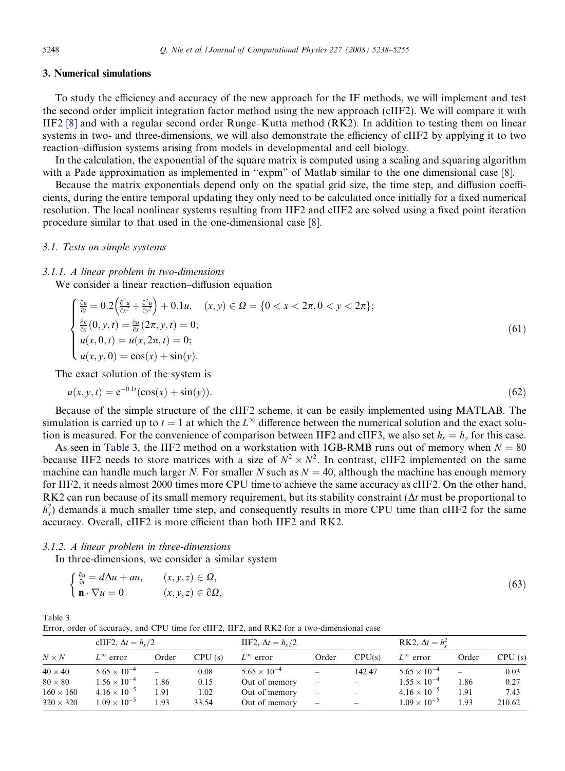# <span id="page-10-0"></span>3. Numerical simulations

To study the efficiency and accuracy of the new approach for the IF methods, we will implement and test the second order implicit integration factor method using the new approach (cIIF2). We will compare it with IIF2 [\[8\]](#page-16-0) and with a regular second order Runge–Kutta method (RK2). In addition to testing them on linear systems in two- and three-dimensions, we will also demonstrate the efficiency of cIIF2 by applying it to two reaction–diffusion systems arising from models in developmental and cell biology.

In the calculation, the exponential of the square matrix is computed using a scaling and squaring algorithm with a Pade approximation as implemented in "expm" of Matlab similar to the one dimensional case [\[8\].](#page-16-0)

Because the matrix exponentials depend only on the spatial grid size, the time step, and diffusion coefficients, during the entire temporal updating they only need to be calculated once initially for a fixed numerical resolution. The local nonlinear systems resulting from IIF2 and cIIF2 are solved using a fixed point iteration procedure similar to that used in the one-dimensional case [\[8\].](#page-16-0)

## 3.1. Tests on simple systems

#### 3.1.1. A linear problem in two-dimensions

We consider a linear reaction–diffusion equation

$$
\begin{cases} \frac{\partial u}{\partial t} = 0.2 \left( \frac{\partial^2 u}{\partial x^2} + \frac{\partial^2 u}{\partial y^2} \right) + 0.1u, \quad (x, y) \in \Omega = \{ 0 < x < 2\pi, 0 < y < 2\pi \};\\ \frac{\partial u}{\partial x} (0, y, t) = \frac{\partial u}{\partial x} (2\pi, y, t) = 0;\\ u(x, 0, t) = u(x, 2\pi, t) = 0;\\ u(x, y, 0) = \cos(x) + \sin(y). \end{cases} \tag{61}
$$

The exact solution of the system is

$$
u(x, y, t) = e^{-0.1t} (\cos(x) + \sin(y)).
$$
\n(62)

Because of the simple structure of the cIIF2 scheme, it can be easily implemented using MATLAB. The simulation is carried up to  $t = 1$  at which the  $L^{\infty}$  difference between the numerical solution and the exact solution is measured. For the convenience of comparison between IIF2 and cIIF3, we also set  $h_x = h_y$  for this case.

As seen in Table 3, the IIF2 method on a workstation with 1GB-RMB runs out of memory when  $N = 80$ because IIF2 needs to store matrices with a size of  $N^2 \times N^2$ . In contrast, cIIF2 implemented on the same machine can handle much larger N. For smaller N such as  $N = 40$ , although the machine has enough memory for IIF2, it needs almost 2000 times more CPU time to achieve the same accuracy as cIIF2. On the other hand, RK2 can run because of its small memory requirement, but its stability constraint  $(\Delta t$  must be proportional to  $h_x^2$ ) demands a much smaller time step, and consequently results in more CPU time than cIIF2 for the same accuracy. Overall, cIIF2 is more efficient than both IIF2 and RK2.

# 3.1.2. A linear problem in three-dimensions

In three-dimensions, we consider a similar system

$$
\begin{cases} \frac{\partial u}{\partial t} = d\Delta u + au, & (x, y, z) \in \Omega, \\ \mathbf{n} \cdot \nabla u = 0 & (x, y, z) \in \partial\Omega, \end{cases}
$$

 $\mathbf{n} \cdot \nabla u = 0$   $(x, y, z) \in \partial \Omega,$  $(63)$ 

Table 3 Error, order of accuracy, and CPU time for cIIF2, IIF2, and RK2 for a two-dimensional case

|                  | cIIF2, $\Delta t = h_r/2$ |       |        | IIF2, $\Delta t = h_r/2$ | RK2, $\Delta t = h_x^2$  |                                                                           |                       |       |        |
|------------------|---------------------------|-------|--------|--------------------------|--------------------------|---------------------------------------------------------------------------|-----------------------|-------|--------|
| $N \times N$     | $L^{\infty}$ error        | Order | CPU(s) | $L^{\infty}$ error       | Order                    | CPU(s)                                                                    | $L^{\infty}$ error    | Order | CPU(s) |
| $40 \times 40$   | $5.65 \times 10^{-4}$     |       | 0.08   | $5.65 \times 10^{-4}$    | $\overline{\phantom{0}}$ | 142.47                                                                    | $5.65 \times 10^{-4}$ | -     | 0.03   |
| $80 \times 80$   | $1.56 \times 10^{-4}$     | 1.86  | 0.15   | Out of memory            | $\overline{\phantom{m}}$ | $\overline{\phantom{m}}$                                                  | $1.55 \times 10^{-4}$ | 1.86  | 0.27   |
| $160 \times 160$ | $4.16 \times 10^{-5}$     | 1.91  | 1.02   | Out of memory            | $\overline{\phantom{m}}$ | $\overline{\phantom{m}}$                                                  | $4.16 \times 10^{-5}$ | 1.91  | 7.43   |
| $320 \times 320$ | $1.09 \times 10^{-5}$     | 1.93  | 33.54  | Out of memory            | $\overline{\phantom{m}}$ | $\hspace{1.0cm} \rule{1.5cm}{0.15cm} \hspace{1.0cm} \rule{1.5cm}{0.15cm}$ | $1.09 \times 10^{-5}$ | 1.93  | 210.62 |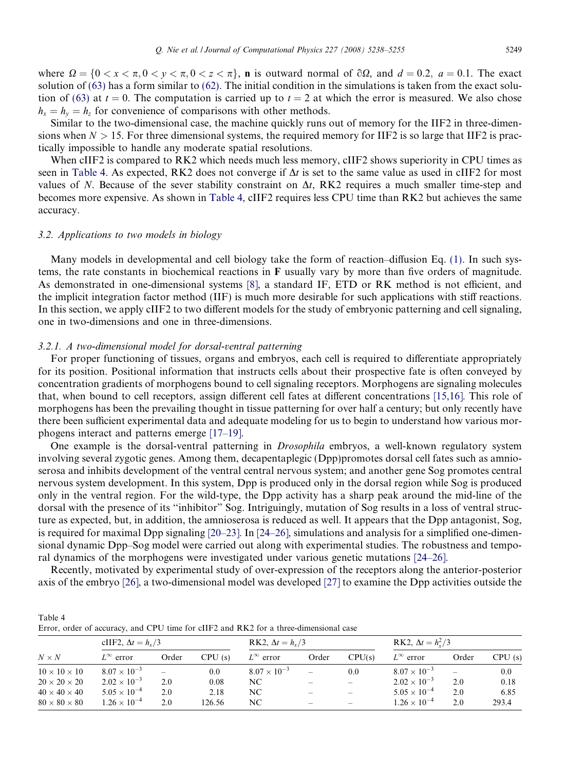where  $\Omega = \{0 < x < \pi, 0 < y < \pi, 0 < z < \pi\}$ , **n** is outward normal of  $\partial\Omega$ , and  $d = 0.2$ ,  $a = 0.1$ . The exact solution of [\(63\)](#page-10-0) has a form similar to [\(62\)](#page-10-0). The initial condition in the simulations is taken from the exact solu-tion of [\(63\)](#page-10-0) at  $t = 0$ . The computation is carried up to  $t = 2$  at which the error is measured. We also chose  $h_x = h_y = h_z$  for convenience of comparisons with other methods.

Similar to the two-dimensional case, the machine quickly runs out of memory for the IIF2 in three-dimensions when  $N > 15$ . For three dimensional systems, the required memory for IIF2 is so large that IIF2 is practically impossible to handle any moderate spatial resolutions.

When cIIF2 is compared to RK2 which needs much less memory, cIIF2 shows superiority in CPU times as seen in Table 4. As expected, RK2 does not converge if  $\Delta t$  is set to the same value as used in cIIF2 for most values of N. Because of the sever stability constraint on  $\Delta t$ , RK2 requires a much smaller time-step and becomes more expensive. As shown in Table 4, cIIF2 requires less CPU time than RK2 but achieves the same accuracy.

## 3.2. Applications to two models in biology

Many models in developmental and cell biology take the form of reaction–diffusion Eq. [\(1\)](#page-1-0). In such systems, the rate constants in biochemical reactions in F usually vary by more than five orders of magnitude. As demonstrated in one-dimensional systems [\[8\]](#page-16-0), a standard IF, ETD or RK method is not efficient, and the implicit integration factor method (IIF) is much more desirable for such applications with stiff reactions. In this section, we apply cIIF2 to two different models for the study of embryonic patterning and cell signaling, one in two-dimensions and one in three-dimensions.

# 3.2.1. A two-dimensional model for dorsal-ventral patterning

For proper functioning of tissues, organs and embryos, each cell is required to differentiate appropriately for its position. Positional information that instructs cells about their prospective fate is often conveyed by concentration gradients of morphogens bound to cell signaling receptors. Morphogens are signaling molecules that, when bound to cell receptors, assign different cell fates at different concentrations [\[15,16\].](#page-16-0) This role of morphogens has been the prevailing thought in tissue patterning for over half a century; but only recently have there been sufficient experimental data and adequate modeling for us to begin to understand how various morphogens interact and patterns emerge [\[17–19\]](#page-16-0).

One example is the dorsal-ventral patterning in Drosophila embryos, a well-known regulatory system involving several zygotic genes. Among them, decapentaplegic (Dpp)promotes dorsal cell fates such as amnioserosa and inhibits development of the ventral central nervous system; and another gene Sog promotes central nervous system development. In this system, Dpp is produced only in the dorsal region while Sog is produced only in the ventral region. For the wild-type, the Dpp activity has a sharp peak around the mid-line of the dorsal with the presence of its ''inhibitor" Sog. Intriguingly, mutation of Sog results in a loss of ventral structure as expected, but, in addition, the amnioserosa is reduced as well. It appears that the Dpp antagonist, Sog, is required for maximal Dpp signaling [\[20–23\].](#page-16-0) In [\[24–26\],](#page-16-0) simulations and analysis for a simplified one-dimensional dynamic Dpp–Sog model were carried out along with experimental studies. The robustness and temporal dynamics of the morphogens were investigated under various genetic mutations [\[24–26\]](#page-16-0).

Recently, motivated by experimental study of over-expression of the receptors along the anterior-posterior axis of the embryo [\[26\]](#page-16-0), a two-dimensional model was developed [\[27\]](#page-16-0) to examine the Dpp activities outside the

| Table 4 |                                                                                       |  |
|---------|---------------------------------------------------------------------------------------|--|
|         | Error, order of accuracy, and CPU time for cIIF2 and RK2 for a three-dimensional case |  |

|                          | cIIF2, $\Delta t = h_r/3$ |                          |        | RK2, $\Delta t = h_r/3$ |                   |                          | RK2, $\Delta t = h_x^2/3$ |       |        |
|--------------------------|---------------------------|--------------------------|--------|-------------------------|-------------------|--------------------------|---------------------------|-------|--------|
| $N \times N$             | $L^{\infty}$ error        | Order                    | CPU(s) | $L^{\infty}$ error      | Order             | CPU(s)                   | $L^{\infty}$ error        | Order | CPU(s) |
| $10 \times 10 \times 10$ | $8.07 \times 10^{-3}$     | $\overline{\phantom{a}}$ | 0.0    | $8.07 \times 10^{-3}$   |                   | 0.0                      | $8.07 \times 10^{-3}$     | -     | 0.0    |
| $20 \times 20 \times 20$ | $2.02 \times 10^{-3}$     | 2.0                      | 0.08   | NC.                     |                   | $\overline{\phantom{0}}$ | $2.02 \times 10^{-3}$     | 2.0   | 0.18   |
| $40 \times 40 \times 40$ | $5.05 \times 10^{-4}$     | 2.0                      | 2.18   | NC.                     | $\hspace{0.05cm}$ | $\qquad \qquad$          | $5.05 \times 10^{-4}$     | 2.0   | 6.85   |
| $80 \times 80 \times 80$ | $1.26 \times 10^{-4}$     | 2.0                      | 126.56 | NC                      | -                 | $\hspace{0.05cm}$        | $1.26 \times 10^{-4}$     | 2.0   | 293.4  |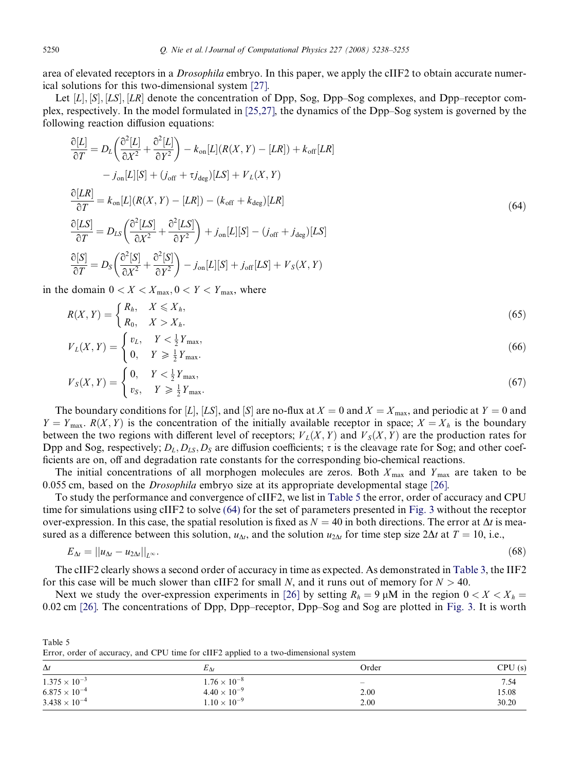<span id="page-12-0"></span>area of elevated receptors in a Drosophila embryo. In this paper, we apply the cIIF2 to obtain accurate numerical solutions for this two-dimensional system [\[27\]](#page-16-0).

Let  $[L], [S], [LS], [LR]$  denote the concentration of Dpp, Sog, Dpp–Sog complexes, and Dpp–receptor complex, respectively. In the model formulated in [\[25,27\],](#page-16-0) the dynamics of the Dpp–Sog system is governed by the following reaction diffusion equations:

$$
\frac{\partial [L]}{\partial T} = D_L \left( \frac{\partial^2 [L]}{\partial X^2} + \frac{\partial^2 [L]}{\partial Y^2} \right) - k_{on}[L](R(X, Y) - [LR]) + k_{off}[LR] \n- j_{on}[L][S] + (j_{off} + \tau j_{deg})[LS] + V_L(X, Y) \n\frac{\partial [LR]}{\partial T} = k_{on}[L](R(X, Y) - [LR]) - (k_{off} + k_{deg})[LR] \n\frac{\partial [LS]}{\partial T} = D_{LS} \left( \frac{\partial^2 [LS]}{\partial X^2} + \frac{\partial^2 [LS]}{\partial Y^2} \right) + j_{on}[L][S] - (j_{off} + j_{deg})[LS] \n\frac{\partial [S]}{\partial T} = D_S \left( \frac{\partial^2 [S]}{\partial X^2} + \frac{\partial^2 [S]}{\partial Y^2} \right) - j_{on}[L][S] + j_{off}[LS] + V_S(X, Y)
$$
\n(64)

in the domain  $0 < X < X_{\text{max}}$ ,  $0 < Y < Y_{\text{max}}$ , where

$$
R(X,Y) = \begin{cases} R_h, & X \leqslant X_h, \\ R_0, & X > X_h. \end{cases} \tag{65}
$$

$$
V_L(X,Y) = \begin{cases} v_L, & Y < \frac{1}{2}Y_{\text{max}}, \\ 0, & Y \geqslant \frac{1}{2}Y_{\text{max}}. \end{cases}
$$
 (66)

$$
V_S(X,Y) = \begin{cases} 0, & Y < \frac{1}{2}Y_{\text{max}}, \\ v_S, & Y \geq \frac{1}{2}Y_{\text{max}}. \end{cases}
$$
(67)

The boundary conditions for [L], [LS], and [S] are no-flux at  $X = 0$  and  $X = X_{\text{max}}$ , and periodic at  $Y = 0$  and  $Y = Y_{\text{max}}$ .  $R(X, Y)$  is the concentration of the initially available receptor in space;  $X = X_h$  is the boundary between the two regions with different level of receptors;  $V_L(X, Y)$  and  $V_S(X, Y)$  are the production rates for Dpp and Sog, respectively;  $D_L$ ,  $D_{LS}$ ,  $D_S$  are diffusion coefficients;  $\tau$  is the cleavage rate for Sog; and other coefficients are on, off and degradation rate constants for the corresponding bio-chemical reactions.

The initial concentrations of all morphogen molecules are zeros. Both  $X_{\text{max}}$  and  $Y_{\text{max}}$  are taken to be 0:055 cm, based on the Drosophila embryo size at its appropriate developmental stage [\[26\].](#page-16-0)

To study the performance and convergence of cIIF2, we list in Table 5 the error, order of accuracy and CPU time for simulations using cIIF2 to solve (64) for the set of parameters presented in [Fig. 3](#page-13-0) without the receptor over-expression. In this case, the spatial resolution is fixed as  $N = 40$  in both directions. The error at  $\Delta t$  is measured as a difference between this solution,  $u_{\Delta t}$ , and the solution  $u_{2\Delta t}$  for time step size  $2\Delta t$  at  $T = 10$ , i.e.,

$$
E_{\Delta t} = ||u_{\Delta t} - u_{2\Delta t}||_{L^{\infty}}.
$$
\n(68)

The cIIF2 clearly shows a second order of accuracy in time as expected. As demonstrated in [Table 3](#page-10-0), the IIF2 for this case will be much slower than cIIF2 for small N, and it runs out of memory for  $N > 40$ .

Next we study the over-expression experiments in [\[26\]](#page-16-0) by setting  $R_h = 9 \mu M$  in the region  $0 < X < X_h$ 0:02 cm [\[26\].](#page-16-0) The concentrations of Dpp, Dpp–receptor, Dpp–Sog and Sog are plotted in [Fig. 3.](#page-13-0) It is worth

| $\Delta t$             | $E_{\Delta t}$        | Order | CPU(s) |  |
|------------------------|-----------------------|-------|--------|--|
| $1.375 \times 10^{-3}$ | $1.76 \times 10^{-8}$ |       | 7.54   |  |
| $6.875 \times 10^{-4}$ | $4.40 \times 10^{-9}$ | 2.00  | 15.08  |  |
| $3.438 \times 10^{-4}$ | $1.10 \times 10^{-9}$ | 2.00  | 30.20  |  |

Error, order of accuracy, and CPU time for cIIF2 applied to a two-dimensional system

Table 5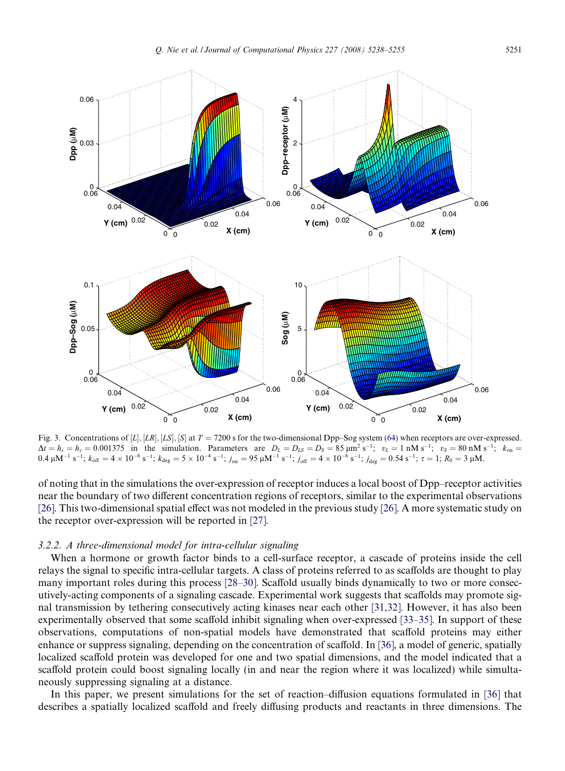<span id="page-13-0"></span>

Fig. 3. Concentrations of [L], [LR], [LS], [S] at  $T = 7200$  s for the two-dimensional Dpp–Sog system [\(64\)](#page-12-0) when receptors are over-expressed.  $\Delta t = h_x = h_y = 0.001375$  in the simulation. Parameters are  $D_L = D_{LS} = D_S = 85 \text{ }\mu\text{m}^2 \text{ s}^{-1}; v_L = 1 \text{ }\text{nM s}^{-1}; v_S = 80 \text{ }\text{nM s}^{-1}; k_{on} = 1 \text{ }\text{mV s}^{-1}$  $0.4 \mu$ M<sup>-1</sup> s<sup>-1</sup>;  $k_{off} = 4 \times 10^{-6}$  s<sup>-1</sup>;  $k_{deg} = 5 \times 10^{-4}$  s<sup>-1</sup>;  $j_{on} = 95 \mu$ M<sup>-1</sup> s<sup>-1</sup>;  $j_{off} = 4 \times 10^{-6}$  s<sup>-1</sup>;  $j_{deg} = 0.54$  s<sup>-1</sup>;  $\tau = 1$ ;  $R_0 = 3 \mu$ M.

of noting that in the simulations the over-expression of receptor induces a local boost of Dpp–receptor activities near the boundary of two different concentration regions of receptors, similar to the experimental observations [\[26\]](#page-16-0). This two-dimensional spatial effect was not modeled in the previous study [\[26\]](#page-16-0). A more systematic study on the receptor over-expression will be reported in [\[27\]](#page-16-0).

# 3.2.2. A three-dimensional model for intra-cellular signaling

When a hormone or growth factor binds to a cell-surface receptor, a cascade of proteins inside the cell relays the signal to specific intra-cellular targets. A class of proteins referred to as scaffolds are thought to play many important roles during this process [\[28–30\].](#page-16-0) Scaffold usually binds dynamically to two or more consecutively-acting components of a signaling cascade. Experimental work suggests that scaffolds may promote signal transmission by tethering consecutively acting kinases near each other [\[31,32\]](#page-16-0). However, it has also been experimentally observed that some scaffold inhibit signaling when over-expressed [\[33–35\]](#page-17-0). In support of these observations, computations of non-spatial models have demonstrated that scaffold proteins may either enhance or suppress signaling, depending on the concentration of scaffold. In [\[36\],](#page-17-0) a model of generic, spatially localized scaffold protein was developed for one and two spatial dimensions, and the model indicated that a scaffold protein could boost signaling locally (in and near the region where it was localized) while simultaneously suppressing signaling at a distance.

In this paper, we present simulations for the set of reaction–diffusion equations formulated in [\[36\]](#page-17-0) that describes a spatially localized scaffold and freely diffusing products and reactants in three dimensions. The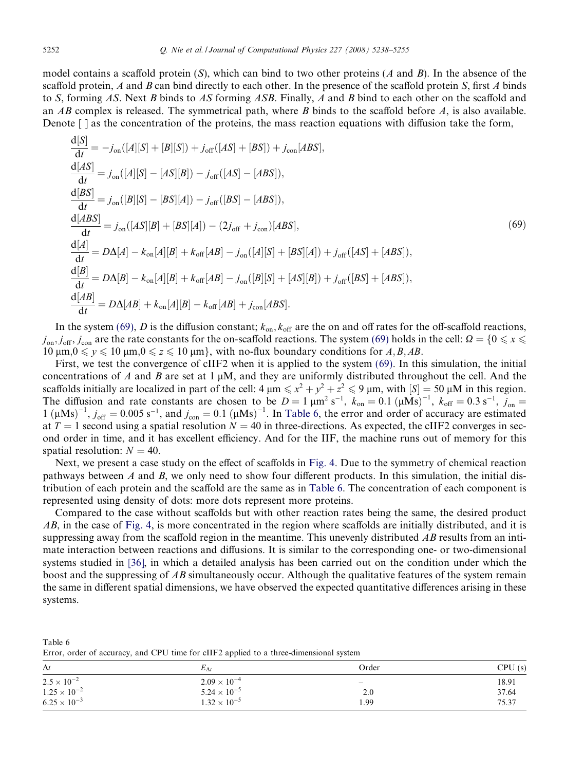model contains a scaffold protein  $(S)$ , which can bind to two other proteins  $(A \text{ and } B)$ . In the absence of the scaffold protein, A and B can bind directly to each other. In the presence of the scaffold protein  $S$ , first A binds to S, forming AS. Next B binds to AS forming ASB. Finally, A and B bind to each other on the scaffold and an  $AB$  complex is released. The symmetrical path, where  $B$  binds to the scaffold before  $A$ , is also available. Denote [ ] as the concentration of the proteins, the mass reaction equations with diffusion take the form,

$$
\frac{d[S]}{dt} = -j_{on}([A][S] + [B][S]) + j_{off}([AS] + [BS]) + j_{con}[ABS],
$$
\n
$$
\frac{d[AS]}{dt} = j_{on}([A][S] - [AS][B]) - j_{off}([AS] - [ABS]),
$$
\n
$$
\frac{d[BS]}{dt} = j_{on}([B][S] - [BS][A]) - j_{off}([BS] - [ABS]),
$$
\n
$$
\frac{d[ABS]}{dt} = j_{on}([AS][B] + [BS][A]) - (2j_{off} + j_{con})[ABS],
$$
\n
$$
\frac{d[A]}{dt} = D\Delta[A] - k_{on}[A][B] + k_{off}[AB] - j_{on}([A][S] + [BS][A]) + j_{off}([AS] + [ABS]),
$$
\n
$$
\frac{d[B]}{dt} = D\Delta[B] - k_{on}[A][B] + k_{off}[AB] - j_{on}([B][S] + [AS][B]) + j_{off}([BS] + [ABS]),
$$
\n
$$
\frac{d[AB]}{dt} = D\Delta[AB] + k_{on}[A][B] - k_{off}[AB] + j_{con}[ABS].
$$
\n(14.10)

In the system (69), D is the diffusion constant;  $k_{on}$ ,  $k_{off}$  are the on and off rates for the off-scaffold reactions,  $j_{\text{on}}, j_{\text{off}}, j_{\text{con}}$  are the rate constants for the on-scaffold reactions. The system (69) holds in the cell:  $\Omega = \{0 \le x \le 0\}$  $10 \ \mu \text{m}, 0 \leq y \leq 10 \ \mu \text{m}, 0 \leq z \leq 10 \ \mu \text{m}$ , with no-flux boundary conditions for  $A, B, AB$ .

First, we test the convergence of cIIF2 when it is applied to the system (69). In this simulation, the initial concentrations of A and B are set at  $1 \mu M$ , and they are uniformly distributed throughout the cell. And the scaffolds initially are localized in part of the cell:  $4 \mu m \leq x^2 + y^2 + z^2 \leq 9 \mu m$ , with  $[S] = 50 \mu M$  in this region. The diffusion and rate constants are chosen to be  $D = 1 \mu m^2 s^{-1}$ ,  $k_{on} = 0.1 (\mu M s)^{-1}$ ,  $k_{off} = 0.3 s^{-1}$ ,  $j_{on} =$  $1 (\mu Ms)^{-1}$ ,  $j_{off} = 0.005 s^{-1}$ , and  $j_{con} = 0.1 (\mu Ms)^{-1}$ . In Table 6, the error and order of accuracy are estimated at  $T = 1$  second using a spatial resolution  $N = 40$  in three-directions. As expected, the cIIF2 converges in second order in time, and it has excellent efficiency. And for the IIF, the machine runs out of memory for this spatial resolution:  $N = 40$ .

Next, we present a case study on the effect of scaffolds in [Fig. 4.](#page-15-0) Due to the symmetry of chemical reaction pathways between  $A$  and  $B$ , we only need to show four different products. In this simulation, the initial distribution of each protein and the scaffold are the same as in Table 6. The concentration of each component is represented using density of dots: more dots represent more proteins.

Compared to the case without scaffolds but with other reaction rates being the same, the desired product AB, in the case of [Fig. 4,](#page-15-0) is more concentrated in the region where scaffolds are initially distributed, and it is suppressing away from the scaffold region in the meantime. This unevenly distributed  $AB$  results from an intimate interaction between reactions and diffusions. It is similar to the corresponding one- or two-dimensional systems studied in [\[36\],](#page-17-0) in which a detailed analysis has been carried out on the condition under which the boost and the suppressing of AB simultaneously occur. Although the qualitative features of the system remain the same in different spatial dimensions, we have observed the expected quantitative differences arising in these systems.

|  | Error, order of accuracy, and CPU time for cIIF2 applied to a three-dimensional system |  |  |  |  |  |  |
|--|----------------------------------------------------------------------------------------|--|--|--|--|--|--|
|  |                                                                                        |  |  |  |  |  |  |
|  |                                                                                        |  |  |  |  |  |  |

| $\Delta t$            | $E_{\Delta t}$        | Order                    | CPU(s) |
|-----------------------|-----------------------|--------------------------|--------|
| $2.5 \times 10^{-2}$  | $2.09 \times 10^{-4}$ | $\overline{\phantom{a}}$ | 18.91  |
| $1.25 \times 10^{-2}$ | $5.24 \times 10^{-5}$ | 2.0                      | 37.64  |
| $6.25 \times 10^{-3}$ | $1.32 \times 10^{-5}$ | 1.99                     | 75.37  |

Table 6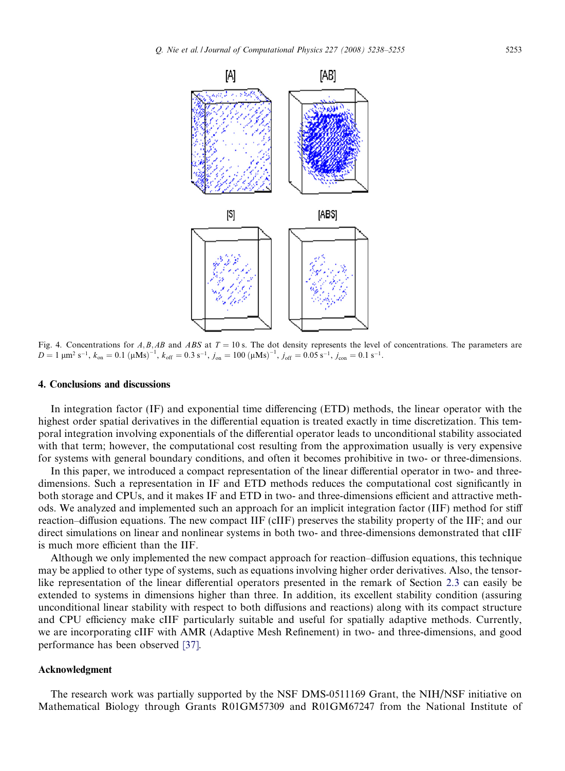<span id="page-15-0"></span>

Fig. 4. Concentrations for A, B, AB and ABS at  $T = 10$  s. The dot density represents the level of concentrations. The parameters are  $D = 1 \mu m^2 s^{-1}$ ,  $k_{on} = 0.1 (\mu M s)^{-1}$ ,  $k_{off} = 0.3 s^{-1}$ ,  $j_{on} = 100 (\mu M s)^{-1}$ ,  $j_{off} = 0.05 s^{-1}$ ,  $j_{con} = 0.1 s^{-1}$ .

#### 4. Conclusions and discussions

In integration factor (IF) and exponential time differencing (ETD) methods, the linear operator with the highest order spatial derivatives in the differential equation is treated exactly in time discretization. This temporal integration involving exponentials of the differential operator leads to unconditional stability associated with that term; however, the computational cost resulting from the approximation usually is very expensive for systems with general boundary conditions, and often it becomes prohibitive in two- or three-dimensions.

In this paper, we introduced a compact representation of the linear differential operator in two- and threedimensions. Such a representation in IF and ETD methods reduces the computational cost significantly in both storage and CPUs, and it makes IF and ETD in two- and three-dimensions efficient and attractive methods. We analyzed and implemented such an approach for an implicit integration factor (IIF) method for stiff reaction–diffusion equations. The new compact IIF (cIIF) preserves the stability property of the IIF; and our direct simulations on linear and nonlinear systems in both two- and three-dimensions demonstrated that cIIF is much more efficient than the IIF.

Although we only implemented the new compact approach for reaction–diffusion equations, this technique may be applied to other type of systems, such as equations involving higher order derivatives. Also, the tensorlike representation of the linear differential operators presented in the remark of Section [2.3](#page-7-0) can easily be extended to systems in dimensions higher than three. In addition, its excellent stability condition (assuring unconditional linear stability with respect to both diffusions and reactions) along with its compact structure and CPU efficiency make cIIF particularly suitable and useful for spatially adaptive methods. Currently, we are incorporating cIIF with AMR (Adaptive Mesh Refinement) in two- and three-dimensions, and good performance has been observed [\[37\]](#page-17-0).

## Acknowledgment

The research work was partially supported by the NSF DMS-0511169 Grant, the NIH/NSF initiative on Mathematical Biology through Grants R01GM57309 and R01GM67247 from the National Institute of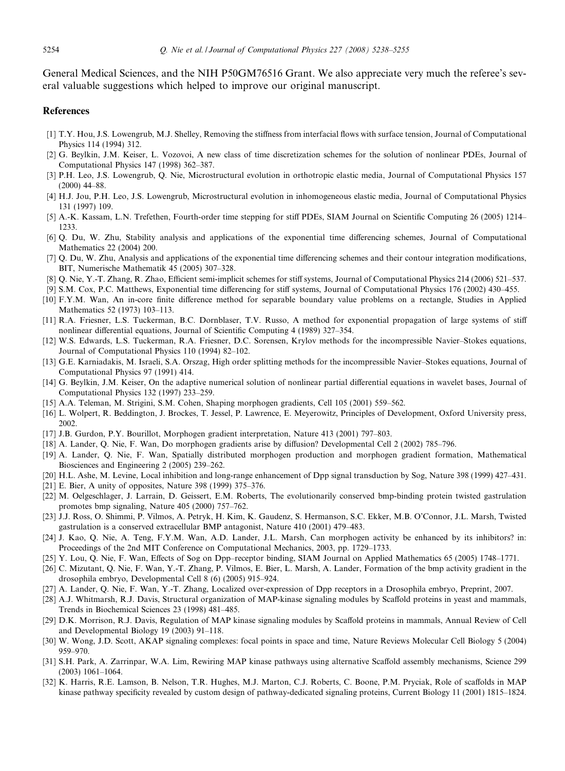<span id="page-16-0"></span>General Medical Sciences, and the NIH P50GM76516 Grant. We also appreciate very much the referee's several valuable suggestions which helped to improve our original manuscript.

# References

- [1] T.Y. Hou, J.S. Lowengrub, M.J. Shelley, Removing the stiffness from interfacial flows with surface tension, Journal of Computational Physics 114 (1994) 312.
- [2] G. Beylkin, J.M. Keiser, L. Vozovoi, A new class of time discretization schemes for the solution of nonlinear PDEs, Journal of Computational Physics 147 (1998) 362–387.
- [3] P.H. Leo, J.S. Lowengrub, Q. Nie, Microstructural evolution in orthotropic elastic media, Journal of Computational Physics 157 (2000) 44–88.
- [4] H.J. Jou, P.H. Leo, J.S. Lowengrub, Microstructural evolution in inhomogeneous elastic media, Journal of Computational Physics 131 (1997) 109.
- [5] A.-K. Kassam, L.N. Trefethen, Fourth-order time stepping for stiff PDEs, SIAM Journal on Scientific Computing 26 (2005) 1214– 1233.
- [6] Q. Du, W. Zhu, Stability analysis and applications of the exponential time differencing schemes, Journal of Computational Mathematics 22 (2004) 200.
- [7] Q. Du, W. Zhu, Analysis and applications of the exponential time differencing schemes and their contour integration modifications, BIT, Numerische Mathematik 45 (2005) 307–328.
- [8] Q. Nie, Y.-T. Zhang, R. Zhao, Efficient semi-implicit schemes for stiff systems, Journal of Computational Physics 214 (2006) 521–537.
- [9] S.M. Cox, P.C. Matthews, Exponential time differencing for stiff systems, Journal of Computational Physics 176 (2002) 430–455.
- [10] F.Y.M. Wan, An in-core finite difference method for separable boundary value problems on a rectangle, Studies in Applied Mathematics 52 (1973) 103–113.
- [11] R.A. Friesner, L.S. Tuckerman, B.C. Dornblaser, T.V. Russo, A method for exponential propagation of large systems of stiff nonlinear differential equations, Journal of Scientific Computing 4 (1989) 327–354.
- [12] W.S. Edwards, L.S. Tuckerman, R.A. Friesner, D.C. Sorensen, Krylov methods for the incompressible Navier–Stokes equations, Journal of Computational Physics 110 (1994) 82–102.
- [13] G.E. Karniadakis, M. Israeli, S.A. Orszag, High order splitting methods for the incompressible Navier–Stokes equations, Journal of Computational Physics 97 (1991) 414.
- [14] G. Beylkin, J.M. Keiser, On the adaptive numerical solution of nonlinear partial differential equations in wavelet bases, Journal of Computational Physics 132 (1997) 233–259.
- [15] A.A. Teleman, M. Strigini, S.M. Cohen, Shaping morphogen gradients, Cell 105 (2001) 559–562.
- [16] L. Wolpert, R. Beddington, J. Brockes, T. Jessel, P. Lawrence, E. Meyerowitz, Principles of Development, Oxford University press, 2002.
- [17] J.B. Gurdon, P.Y. Bourillot, Morphogen gradient interpretation, Nature 413 (2001) 797–803.
- [18] A. Lander, Q. Nie, F. Wan, Do morphogen gradients arise by diffusion? Developmental Cell 2 (2002) 785–796.
- [19] A. Lander, Q. Nie, F. Wan, Spatially distributed morphogen production and morphogen gradient formation, Mathematical Biosciences and Engineering 2 (2005) 239–262.
- [20] H.L. Ashe, M. Levine, Local inhibition and long-range enhancement of Dpp signal transduction by Sog, Nature 398 (1999) 427–431.
- [21] E. Bier, A unity of opposites, Nature 398 (1999) 375–376.
- [22] M. Oelgeschlager, J. Larrain, D. Geissert, E.M. Roberts, The evolutionarily conserved bmp-binding protein twisted gastrulation promotes bmp signaling, Nature 405 (2000) 757–762.
- [23] J.J. Ross, O. Shimmi, P. Vilmos, A. Petryk, H. Kim, K. Gaudenz, S. Hermanson, S.C. Ekker, M.B. O'Connor, J.L. Marsh, Twisted gastrulation is a conserved extracellular BMP antagonist, Nature 410 (2001) 479–483.
- [24] J. Kao, Q. Nie, A. Teng, F.Y.M. Wan, A.D. Lander, J.L. Marsh, Can morphogen activity be enhanced by its inhibitors? in: Proceedings of the 2nd MIT Conference on Computational Mechanics, 2003, pp. 1729–1733.
- [25] Y. Lou, Q. Nie, F. Wan, Effects of Sog on Dpp–receptor binding, SIAM Journal on Applied Mathematics 65 (2005) 1748–1771.
- [26] C. Mizutant, Q. Nie, F. Wan, Y.-T. Zhang, P. Vilmos, E. Bier, L. Marsh, A. Lander, Formation of the bmp activity gradient in the drosophila embryo, Developmental Cell 8 (6) (2005) 915–924.
- [27] A. Lander, Q. Nie, F. Wan, Y.-T. Zhang, Localized over-expression of Dpp receptors in a Drosophila embryo, Preprint, 2007.
- [28] A.J. Whitmarsh, R.J. Davis, Structural organization of MAP-kinase signaling modules by Scaffold proteins in yeast and mammals, Trends in Biochemical Sciences 23 (1998) 481–485.
- [29] D.K. Morrison, R.J. Davis, Regulation of MAP kinase signaling modules by Scaffold proteins in mammals, Annual Review of Cell and Developmental Biology 19 (2003) 91–118.
- [30] W. Wong, J.D. Scott, AKAP signaling complexes: focal points in space and time, Nature Reviews Molecular Cell Biology 5 (2004) 959–970.
- [31] S.H. Park, A. Zarrinpar, W.A. Lim, Rewiring MAP kinase pathways using alternative Scaffold assembly mechanisms, Science 299 (2003) 1061–1064.
- [32] K. Harris, R.E. Lamson, B. Nelson, T.R. Hughes, M.J. Marton, C.J. Roberts, C. Boone, P.M. Pryciak, Role of scaffolds in MAP kinase pathway specificity revealed by custom design of pathway-dedicated signaling proteins, Current Biology 11 (2001) 1815–1824.